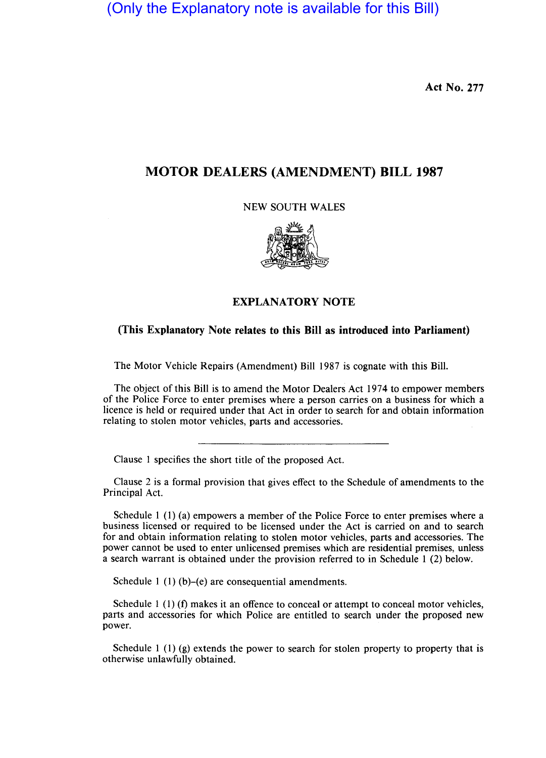(Only the Explanatory note is available for this Bill)

**Act No. 277** 

## **MOTOR DEALERS (AMENDMENT) BILL 1987**

NEW SOUTH WALES



## **EXPLANATORY NOTE**

## **(This Explanatory Note relates to this Bill as introduced into Parliament)**

The Motor Vehicle Repairs (Amendment) Bill 1987 is cognate with this Bill.

The object of this Bill is to amend the Motor Dealers Act 1974 to empower members of the Police Force to enter premises where a person carries on a business for which a licence is held or required under that Act in order to search for and obtain information relating to stolen motor vehicles, parts and accessories.

Clause I specifies the short title of the proposed Act.

Clause 2 is a formal provision that gives effect to the Schedule of amendments to the Principal Act.

Schedule I (1) (a) empowers a member of the Police Force to enter premises where a business licensed or required to be licensed under the Act is carried on and to search for and obtain information relating to stolen motor vehicles, parts and accessories. The power cannot be used to enter unlicensed premises which are residential premises, unless a search warrant is obtained under the provision referred to in Schedule I (2) below.

Schedule 1 (1) (b)–(e) are consequential amendments.

Schedule 1  $(1)$  (f) makes it an offence to conceal or attempt to conceal motor vehicles, parts and accessories for which Police are entitled to search under the proposed new power.

Schedule  $1(1)(g)$  extends the power to search for stolen property to property that is otherwise unlawfully obtained.